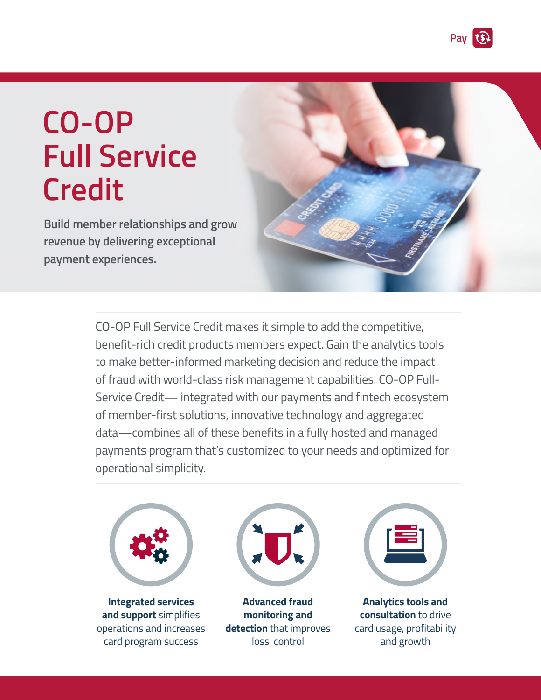**Pay**

# **CO-OP Full Service Credit**

**Build member relationships and grow revenue by delivering exceptional payment experiences.**



CO-OP Full Service Credit makes it simple to add the competitive, benefit-rich credit products members expect. Gain the analytics tools to make better-informed marketing decision and reduce the impact of fraud with world-class risk management capabilities. CO-OP Full-Service Credit— integrated with our payments and fintech ecosystem of member-first solutions, innovative technology and aggregated data—combines all of these benefits in a fully hosted and managed payments program that's customized to your needs and optimized for operational simplicity.



**Integrated services and support** simplifies operations and increases card program success



**Advanced fraud monitoring and detection** that improves loss control



**Analytics tools and consultation** to drive card usage, profitability and growth